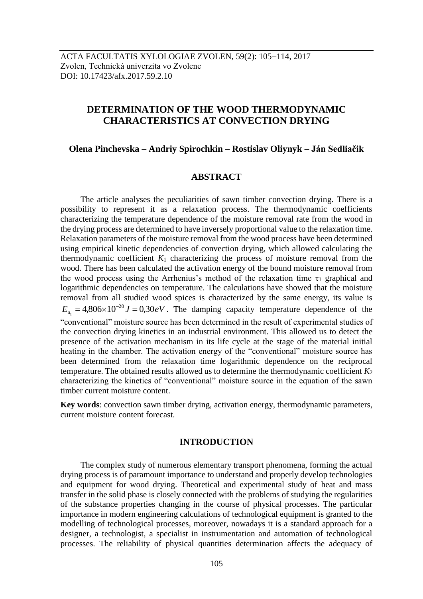# **DETERMINATION OF THE WOOD THERMODYNAMIC CHARACTERISTICS AT CONVECTION DRYING**

### **Olena Pinchevska – Andriy Spirochkin – Rostislav Oliynyk – Ján Sedliačik**

### **ABSTRACT**

The article analyses the peculiarities of sawn timber convection drying. There is a possibility to represent it as a relaxation process. The thermodynamic coefficients characterizing the temperature dependence of the moisture removal rate from the wood in the drying process are determined to have inversely proportional value to the relaxation time. Relaxation parameters of the moisture removal from the wood process have been determined using empirical kinetic dependencies of convection drying, which allowed calculating the thermodynamic coefficient  $K_1$  characterizing the process of moisture removal from the wood. There has been calculated the activation energy of the bound moisture removal from the wood process using the Arrhenius's method of the relaxation time  $\tau_1$  graphical and logarithmic dependencies on temperature. The calculations have showed that the moisture removal from all studied wood spices is characterized by the same energy, its value is  $E_{a_1} = 4,806 \times 10^{-20} J = 0,30 eV$ . The damping capacity temperature dependence of the "conventional" moisture source has been determined in the result of experimental studies of the convection drying kinetics in an industrial environment. This allowed us to detect the presence of the activation mechanism in its life cycle at the stage of the material initial heating in the chamber. The activation energy of the "conventional" moisture source has been determined from the relaxation time logarithmic dependence on the reciprocal temperature. The obtained results allowed us to determine the thermodynamic coefficient  $K_2$ characterizing the kinetics of "conventional" moisture source in the equation of the sawn timber current moisture content.

**Key words**: convection sawn timber drying, activation energy, thermodynamic parameters, current moisture content forecast.

### **INTRODUCTION**

The complex study of numerous elementary transport phenomena, forming the actual drying process is of paramount importance to understand and properly develop technologies and equipment for wood drying. Theoretical and experimental study of heat and mass transfer in the solid phase is closely connected with the problems of studying the regularities of the substance properties changing in the course of physical processes. The particular importance in modern engineering calculations of technological equipment is granted to the modelling of technological processes, moreover, nowadays it is a standard approach for a designer, a technologist, a specialist in instrumentation and automation of technological processes. The reliability of physical quantities determination affects the adequacy of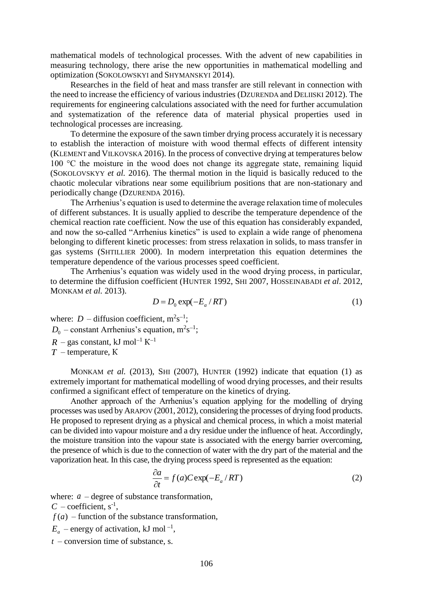mathematical models of technological processes. With the advent of new capabilities in measuring technology, there arise the new opportunities in mathematical modelling and optimization (SOKOLOWSKYI and SHYMANSKYI 2014).

Researches in the field of heat and mass transfer are still relevant in connection with the need to increase the efficiency of various industries (DZURENDA and DELIISKI 2012). The requirements for engineering calculations associated with the need for further accumulation and systematization of the reference data of material physical properties used in technological processes are increasing.

To determine the exposure of the sawn timber drying process accurately it is necessary to establish the interaction of moisture with wood thermal effects of different intensity (KLEMENT and VILKOVSKA 2016). In the process of convective drying at temperatures below 100 °C the moisture in the wood does not change its aggregate state, remaining liquid (SOKOLOVSKYY *et al.* 2016). The thermal motion in the liquid is basically reduced to the chaotic molecular vibrations near some equilibrium positions that are non-stationary and periodically change (DZURENDA 2016).

The Arrhenius's equation is used to determine the average relaxation time of molecules of different substances. It is usually applied to describe the temperature dependence of the chemical reaction rate coefficient. Now the use of this equation has considerably expanded, and now the so-called "Arrhenius kinetics" is used to explain a wide range of phenomena belonging to different kinetic processes: from stress relaxation in solids, to mass transfer in gas systems (SHTILLIER 2000). In modern interpretation this equation determines the temperature dependence of the various processes speed coefficient.

The Arrhenius's equation was widely used in the wood drying process, in particular, to determine the diffusion coefficient (HUNTER 1992, SHI 2007, HOSSEINABADI *et al*. 2012, MONKAM *et al.* 2013).

$$
D = D_0 \exp(-E_a / RT) \tag{1}
$$

where:  $D$  – diffusion coefficient,  $m^2s^{-1}$ ;  $D_0$  – constant Arrhenius's equation,  $m^2s^{-1}$ ;  $R$  – gas constant, kJ mol<sup>-1</sup> K<sup>-1</sup> *T* – temperature, К

MONKAM *et al.* (2013), SHI (2007), HUNTER (1992) indicate that equation (1) as extremely important for mathematical modelling of wood drying processes, and their results confirmed a significant effect of temperature on the kinetics of drying.

Another approach of the Arrhenius's equation applying for the modelling of drying processes was used by ARAPOV (2001, 2012), considering the processes of drying food products. He proposed to represent drying as a physical and chemical process, in which a moist material can be divided into vapour moisture and a dry residue under the influence of heat. Accordingly, the moisture transition into the vapour state is associated with the energy barrier overcoming, the presence of which is due to the connection of water with the dry part of the material and the vaporization heat. In this case, the drying process speed is represented as the equation:

$$
\frac{\partial a}{\partial t} = f(a)C \exp(-E_a/RT) \tag{2}
$$

where: *a* – degree of substance transformation,

 $C$  – coefficient,  $s^{-1}$ ,

 $f(a)$  – function of the substance transformation,

 $E_a$  – energy of activation, kJ mol<sup>-1</sup>,

*t* – conversion time of substance, s.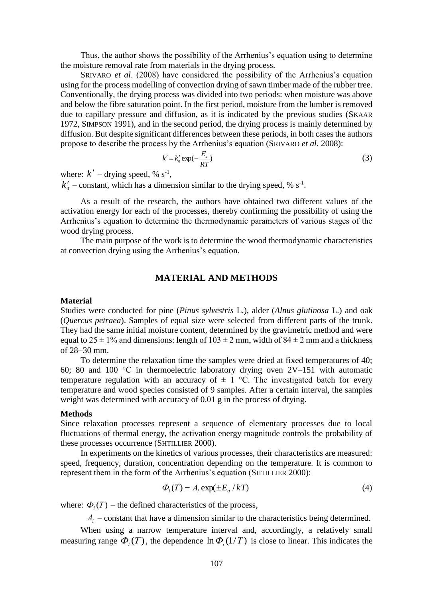Thus, the author shows the possibility of the Arrhenius's equation using to determine the moisture removal rate from materials in the drying process.

SRIVARO *et al*. (2008) have considered the possibility of the Arrhenius's equation using for the process modelling of convection drying of sawn timber made of the rubber tree. Conventionally, the drying process was divided into two periods: when moisture was above and below the fibre saturation point. In the first period, moisture from the lumber is removed due to capillary pressure and diffusion, as it is indicated by the previous studies (SKAAR 1972, SIMPSON 1991), and in the second period, the drying process is mainly determined by diffusion. But despite significant differences between these periods, in both cases the authors propose to describe the process by the Arrhenius's equation (SRIVARO *et al.* 2008):

$$
k' = k'_0 \exp(-\frac{E_a}{RT})
$$
\n(3)

where:  $k'$  – drying speed, % s<sup>-1</sup>,

 $k'_0$  – constant, which has a dimension similar to the drying speed, %  $s^{-1}$ .

As a result of the research, the authors have obtained two different values of the activation energy for each of the processes, thereby confirming the possibility of using the Arrhenius's equation to determine the thermodynamic parameters of various stages of the wood drying process.

The main purpose of the work is to determine the wood thermodynamic characteristics at convection drying using the Arrhenius's equation.

# **MATERIAL AND METHODS**

#### **Material**

Studies were conducted for pine (*Pinus sylvestris* L.), alder (*Alnus glutinosa* L.) and oak (*Quercus petraea*). Samples of equal size were selected from different parts of the trunk. They had the same initial moisture content, determined by the gravimetric method and were equal to  $25 \pm 1\%$  and dimensions: length of  $103 \pm 2$  mm, width of  $84 \pm 2$  mm and a thickness of  $28-30$  mm.

To determine the relaxation time the samples were dried at fixed temperatures of 40; 60; 80 and 100 °C in thermoelectric laboratory drying oven 2V–151 with automatic temperature regulation with an accuracy of  $\pm$  1 °C. The investigated batch for every temperature and wood species consisted of 9 samples. After a certain interval, the samples weight was determined with accuracy of 0.01 g in the process of drying.

#### **Methods**

Since relaxation processes represent a sequence of elementary processes due to local fluctuations of thermal energy, the activation energy magnitude controls the probability of these processes occurrence (SHTILLIER 2000).

In experiments on the kinetics of various processes, their characteristics are measured: speed, frequency, duration, concentration depending on the temperature. It is common to represent them in the form of the Arrhenius's equation (SHTILLIER 2000):

$$
\Phi_i(T) = A_i \exp(\pm E_a / kT) \tag{4}
$$

where:  $\Phi_i(T)$  – the defined characteristics of the process,

*А<sup>і</sup>* – constant that have a dimension similar to the characteristics being determined.

When using a narrow temperature interval and, accordingly, a relatively small measuring range  $\Phi_i(T)$ , the dependence  $\ln \Phi_i(1/T)$  is close to linear. This indicates the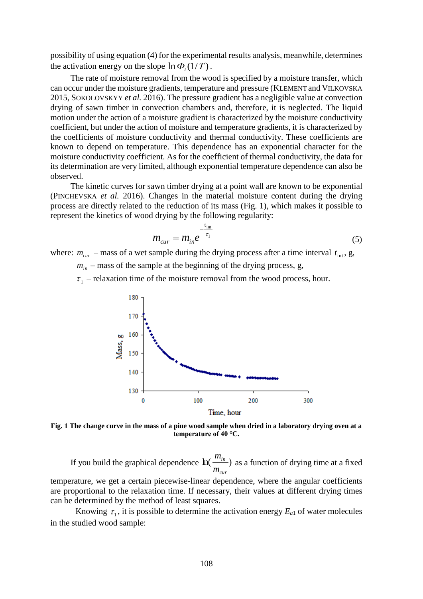possibility of using equation (4) for the experimental results analysis, meanwhile, determines the activation energy on the slope  $\ln \Phi_i(1/T)$ .

The rate of moisture removal from the wood is specified by a moisture transfer, which can occur under the moisture gradients, temperature and pressure (KLEMENT and VILKOVSKA 2015, SOKOLOVSKYY *et al.* 2016). The pressure gradient has a negligible value at convection drying of sawn timber in convection chambers and, therefore, it is neglected. The liquid motion under the action of a moisture gradient is characterized by the moisture conductivity coefficient, but under the action of moisture and temperature gradients, it is characterized by the coefficients of moisture conductivity and thermal conductivity. These coefficients are known to depend on temperature. This dependence has an exponential character for the moisture conductivity coefficient. As for the coefficient of thermal conductivity, the data for its determination are very limited, although exponential temperature dependence can also be observed.

The kinetic curves for sawn timber drying at a point wall are known to be exponential (PINCHEVSKA *et al.* 2016). Changes in the material moisture content during the drying process are directly related to the reduction of its mass (Fig. 1), which makes it possible to represent the kinetics of wood drying by the following regularity:

$$
m_{cur} = m_{in} e^{-\frac{t_{in}}{\tau_1}}
$$
 (5)

where:  $m_{cur}$  – mass of a wet sample during the drying process after a time interval  $t_{int}$ , g,

 $m<sub>in</sub>$  – mass of the sample at the beginning of the drying process, g,

 $\tau_1$  – relaxation time of the moisture removal from the wood process, hour.



**Fig. 1 The change curve in the mass of a pine wood sample when dried in a laboratory drying oven at a temperature of 40 °C.**

If you build the graphical dependence  $\ln(\frac{m_{in}}{m})$ *cur in m m* as a function of drying time at a fixed

temperature, we get a certain piecewise-linear dependence, where the angular coefficients are proportional to the relaxation time. If necessary, their values at different drying times can be determined by the method of least squares.

Knowing  $\tau_1$ , it is possible to determine the activation energy  $E_{a1}$  of water molecules in the studied wood sample: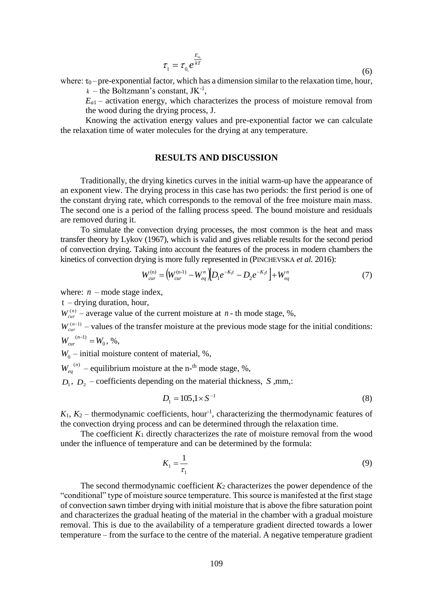$$
\tau_1 = \tau_{0_1} e^{\frac{E_{a_1}}{kT}}
$$
\n
$$
\tag{6}
$$

where:  $\tau_0$  – pre-exponential factor, which has a dimension similar to the relaxation time, hour,

 $k$  – the Boltzmann's constant,  $JK^{-1}$ ,

 $E_{a1}$  – activation energy, which characterizes the process of moisture removal from the wood during the drying process, J.

Knowing the activation energy values and pre-exponential factor we can calculate the relaxation time of water molecules for the drying at any temperature.

### **RESULTS AND DISCUSSION**

Traditionally, the drying kinetics curves in the initial warm-up have the appearance of an exponent view. The drying process in this case has two periods: the first period is one of the constant drying rate, which corresponds to the removal of the free moisture main mass. The second one is a period of the falling process speed. The bound moisture and residuals are removed during it.

To simulate the convection drying processes, the most common is the heat and mass transfer theory by Lykov (1967), which is valid and gives reliable results for the second period of convection drying. Taking into account the features of the process in modern chambers the kinetics of convection drying is more fully represented in (PINCHEVSKA *et al.* 2016):

$$
W_{cur}^{(n)} = \left(W_{cur}^{(n-1)} - W_{eq}^n\right) \left[D_1 e^{-K_1 t} - D_2 e^{-K_2 t}\right] + W_{eq}^n \tag{7}
$$

where:  $n$  – mode stage index,

t – drying duration, hour,

 $W_{\text{cur}}^{(n)}$  – average value of the current moisture at *n* - th mode stage, %,

 $W_{cur}^{(n-1)}$  – values of the transfer moisture at the previous mode stage for the initial conditions:  $W_{\text{cur}}^{(n-1)} = W_0$  $J_{cur}^{(n-1)} = W_0^-, \, \%$ 

 $W_0$  – initial moisture content of material, %,

 $W_{eq}^{(n)}$  – equilibrium moisture at the n-<sup>th</sup> mode stage, %,

 $D_1$ ,  $D_2$  – coefficients depending on the material thickness, *S*, mm,:

$$
D_1 = 105 \, \text{J} \times \text{S}^{-1} \tag{8}
$$

 $K_1, K_2$  – thermodynamic coefficients, hour<sup>-1</sup>, characterizing the thermodynamic features of the convection drying process and can be determined through the relaxation time.

The coefficient  $K_1$  directly characterizes the rate of moisture removal from the wood under the influence of temperature and can be determined by the formula:

$$
K_1 = \frac{1}{\tau_1} \tag{9}
$$

The second thermodynamic coefficient  $K_2$  characterizes the power dependence of the "conditional" type of moisture source temperature. This source is manifested at the first stage of convection sawn timber drying with initial moisture that is above the fibre saturation point and characterizes the gradual heating of the material in the chamber with a gradual moisture removal. This is due to the availability of a temperature gradient directed towards a lower temperature – from the surface to the centre of the material. A negative temperature gradient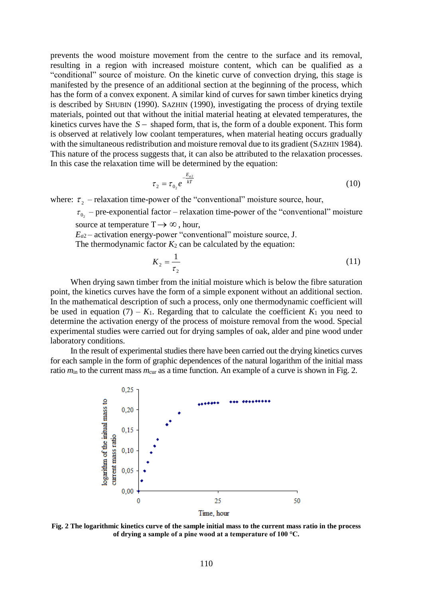prevents the wood moisture movement from the centre to the surface and its removal, resulting in a region with increased moisture content, which can be qualified as a "conditional" source of moisture. On the kinetic curve of convection drying, this stage is manifested by the presence of an additional section at the beginning of the process, which has the form of a convex exponent. A similar kind of curves for sawn timber kinetics drying is described by SHUBIN (1990). SAZHIN (1990), investigating the process of drying textile materials, pointed out that without the initial material heating at elevated temperatures, the kinetics curves have the  $S-$  shaped form, that is, the form of a double exponent. This form is observed at relatively low coolant temperatures, when material heating occurs gradually with the simultaneous redistribution and moisture removal due to its gradient (SAZHIN 1984). This nature of the process suggests that, it can also be attributed to the relaxation processes. In this case the relaxation time will be determined by the equation:

$$
\tau_2 = \tau_{0_2} e^{-\frac{E_{a2}}{kT}} \tag{10}
$$

where:  $\tau_2$  – relaxation time-power of the "conventional" moisture source, hour,

 $\tau_{0_2}$  – pre-exponential factor – relaxation time-power of the "conventional" moisture source at temperature  $T \rightarrow \infty$ , hour,

 $E_{a2}$  – activation energy-power "conventional" moisture source, J.

The thermodynamic factor  $K_2$  can be calculated by the equation:

$$
K_2 = \frac{1}{\tau_2} \tag{11}
$$

When drying sawn timber from the initial moisture which is below the fibre saturation point, the kinetics curves have the form of a simple exponent without an additional section. In the mathematical description of such a process, only one thermodynamic coefficient will be used in equation  $(7) - K_1$ . Regarding that to calculate the coefficient  $K_1$  you need to determine the activation energy of the process of moisture removal from the wood. Special experimental studies were carried out for drying samples of oak, alder and pine wood under laboratory conditions.

In the result of experimental studies there have been carried out the drying kinetics curves for each sample in the form of graphic dependences of the natural logarithm of the initial mass ratio  $m_{\text{in}}$  to the current mass  $m_{\text{cur}}$  as a time function. An example of a curve is shown in Fig. 2.



**Fig. 2 The logarithmic kinetics curve of the sample initial mass to the current mass ratio in the process of drying a sample of a pine wood at a temperature of 100 °C.**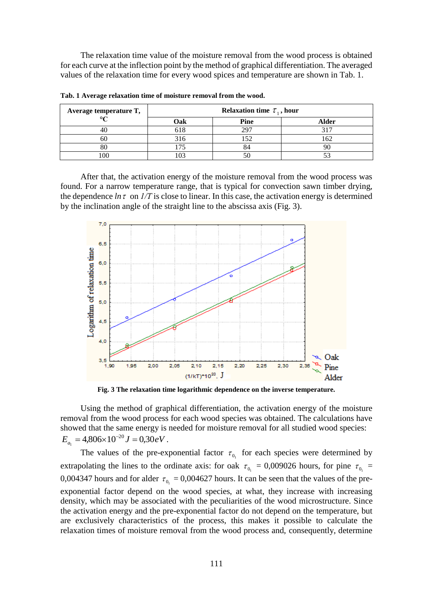The relaxation time value of the moisture removal from the wood process is obtained for each curve at the inflection point by the method of graphical differentiation. The averaged values of the relaxation time for every wood spices and temperature are shown in Tab. 1.

| Average temperature T,<br>$\circ$ $\sim$ | Relaxation time $\tau_1$ , hour |      |       |
|------------------------------------------|---------------------------------|------|-------|
|                                          | Oak                             | Pine | Alder |
|                                          | 618                             | 297  |       |
| 60                                       | 316                             | 152  | 162   |
| ðι                                       |                                 |      |       |
| 100                                      |                                 |      |       |

**Tab. 1 Average relaxation time of moisture removal from the wood.**

After that, the activation energy of the moisture removal from the wood process was found. For a narrow temperature range, that is typical for convection sawn timber drying, the dependence  $\ln \tau$  on  $1/T$  is close to linear. In this case, the activation energy is determined by the inclination angle of the straight line to the abscissa axis (Fig. 3).



**Fig. 3 The relaxation time logarithmic dependence on the inverse temperature.**

Using the method of graphical differentiation, the activation energy of the moisture removal from the wood process for each wood species was obtained. The calculations have showed that the same energy is needed for moisture removal for all studied wood species:  $E_{a_1} = 4,806 \times 10^{-20} J = 0,30 eV$ .

The values of the pre-exponential factor  $\tau_{0}$  for each species were determined by extrapolating the lines to the ordinate axis: for oak  $\tau_{0_1} = 0,009026$  hours, for pine  $\tau_{0_1} =$ 0,004347 hours and for alder  $\tau_{0} = 0.004627$  hours. It can be seen that the values of the preexponential factor depend on the wood species, at what, they increase with increasing density, which may be associated with the peculiarities of the wood microstructure. Since the activation energy and the pre-exponential factor do not depend on the temperature, but are exclusively characteristics of the process, this makes it possible to calculate the relaxation times of moisture removal from the wood process and, consequently, determine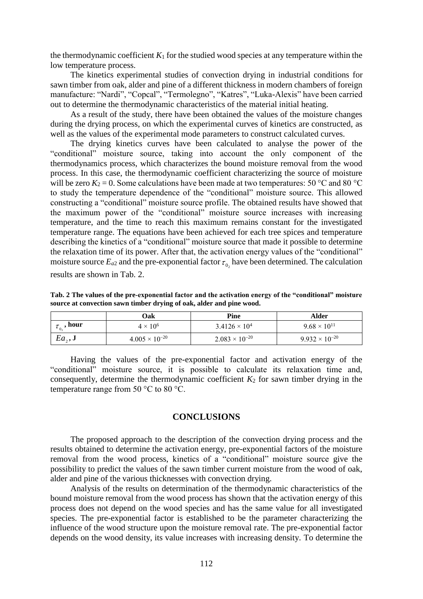the thermodynamic coefficient  $K_1$  for the studied wood species at any temperature within the low temperature process.

The kinetics experimental studies of convection drying in industrial conditions for sawn timber from oak, alder and pine of a different thickness in modern chambers of foreign manufacture: "Nardi", "Copcal", "Termolegno", "Katres", "Luka-Alexis" have been carried out to determine the thermodynamic characteristics of the material initial heating.

As a result of the study, there have been obtained the values of the moisture changes during the drying process, on which the experimental curves of kinetics are constructed, as well as the values of the experimental mode parameters to construct calculated curves.

The drying kinetics curves have been calculated to analyse the power of the "conditional" moisture source, taking into account the only component of the thermodynamics process, which characterizes the bound moisture removal from the wood process. In this case, the thermodynamic coefficient characterizing the source of moisture will be zero  $K_2 = 0$ . Some calculations have been made at two temperatures: 50 °C and 80 °C to study the temperature dependence of the "conditional" moisture source. This allowed constructing a "conditional" moisture source profile. The obtained results have showed that the maximum power of the "conditional" moisture source increases with increasing temperature, and the time to reach this maximum remains constant for the investigated temperature range. The equations have been achieved for each tree spices and temperature describing the kinetics of a "conditional" moisture source that made it possible to determine the relaxation time of its power. After that, the activation energy values of the "conditional" moisture source  $E_{a2}$  and the pre-exponential factor  $\tau_{0_2}$  have been determined. The calculation results are shown in Tab. 2.

**Tab. 2 The values of the pre-exponential factor and the activation energy of the "conditional" moisture source at convection sawn timber drying of oak, alder and pine wood.**

|                            | Oak                     | Pine                    | Alder                   |
|----------------------------|-------------------------|-------------------------|-------------------------|
| $\mathcal{L}_{0_2}$ , hour | $4 \times 10^6$         | $3.4126 \times 10^{4}$  | $9.68 \times 10^{11}$   |
| $Ea_{\gamma}$ , J          | $4.005 \times 10^{-20}$ | $2.083 \times 10^{-20}$ | $9.932 \times 10^{-20}$ |

Having the values of the pre-exponential factor and activation energy of the "conditional" moisture source, it is possible to calculate its relaxation time and, consequently, determine the thermodynamic coefficient  $K_2$  for sawn timber drying in the temperature range from 50  $^{\circ}$ C to 80  $^{\circ}$ C.

### **CONCLUSIONS**

The proposed approach to the description of the convection drying process and the results obtained to determine the activation energy, pre-exponential factors of the moisture removal from the wood process, kinetics of a "conditional" moisture source give the possibility to predict the values of the sawn timber current moisture from the wood of oak, alder and pine of the various thicknesses with convection drying.

Analysis of the results on determination of the thermodynamic characteristics of the bound moisture removal from the wood process has shown that the activation energy of this process does not depend on the wood species and has the same value for all investigated species. The pre-exponential factor is established to be the parameter characterizing the influence of the wood structure upon the moisture removal rate. The pre-exponential factor depends on the wood density, its value increases with increasing density. To determine the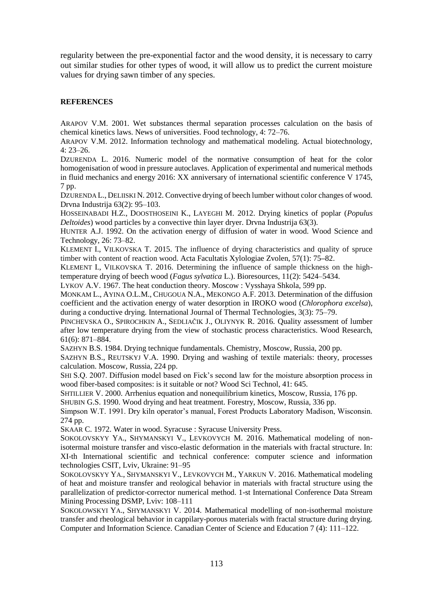regularity between the pre-exponential factor and the wood density, it is necessary to carry out similar studies for other types of wood, it will allow us to predict the current moisture values for drying sawn timber of any species.

# **REFERENCES**

ARAPOV V.M. 2001. Wet substances thermal separation processes calculation on the basis of chemical kinetics laws. News of universities. Food technology, 4: 72–76.

ARAPOV V.M. 2012. Information technology and mathematical modeling. Actual biotechnology, 4: 23–26.

DZURENDA L. 2016. Numeric model of the normative consumption of heat for the color homogenisation of wood in pressure autoclaves. Application of experimental and numerical methods in fluid mechanics and energy 2016: XX anniversary of international scientific conference V 1745, 7 pp.

DZURENDA L., DELIISKI N. 2012. Convective drying of beech lumber without color changes of wood. Drvna Industrija 63(2): 95–103.

HOSSEINABADI H.Z., DOOSTHOSEINI K., LAYEGHI M. 2012. Drying kinetics of poplar (*Populus Deltoides*) wood particles by a convective thin layer dryer. Drvna Industrija 63(3).

HUNTER A.J. [1992.](http://link.springer.com/search?facet-author=%22A.+J.+Hunter%22) On the activation energy of diffusion of water in wood. Wood Science and Technology, 26: 73–82.

KLEMENT I., VILKOVSKA T. 2015. The influence of drying characteristics and quality of spruce timber with content of reaction wood. [Acta Facultatis Xylologiae](https://www.researchgate.net/journal/1336-3824_Acta_Facultatis_Xylologiae) Zvolen, 57(1): 75**–**82.

KLEMENT I., VILKOVSKA T. 2016. Determining the influence of sample thickness on the hightemperature drying of beech wood (*Fagus sylvatica* L.)[. Bioresources,](https://www.researchgate.net/journal/1930-2126_Bioresources) 11(2): 5424–5434.

LYKOV A.V. 1967. The heat conduction theory. Moscow : Vysshaya Shkola, 599 pp.

MONKAM L., AYINA O.L.M., CHUGOUA N.A., MEKONGO A.F. 2013. Determination of the diffusion coefficient and the activation energy of water desorption in IROKO wood (*Chlorophora excelsa*), during a conductive drying. International Journal of Thermal Technologies,  $3(3)$ : 75–79.

PINCHEVSKA O., SPIROCHKIN A., SEDLIAČIK J., OLIYNYK R. 2016. Quality assessment of lumber after low temperature drying from the view of stochastic process characteristics. Wood Research, 61(6): 871–884.

SAZHYN B.S. 1984. Drying technique fundamentals. Chemistry, Moscow, Russia, 200 pp.

SAZHYN B.S., REUTSKYJ V.A. 1990. Drying and washing of textile materials: theory, processes calculation. Moscow, Russia, 224 pp.

SHI S.Q. 2007. Diffusion model based on Fick's second law for the moisture absorption process in wood fiber-based composites: is it suitable or not? Wood Sci Technol, 41: 645.

SHTILLIER V. 2000. Arrhenius equation and nonequilibrium kinetics, Moscow, Russia, 176 pp.

SHUBIN G.S. 1990. Wood drying and heat treatment. Forestry, Moscow, Russia, 336 pp.

Simpson W.T. 1991. Dry kiln operator's manual, Forest Products Laboratory Madison, Wisconsin. 274 pp.

SKAAR C. 1972. Water in wood. Syracuse : Syracuse University Press.

SOKOLOVSKYY YA., SHYMANSKYI V., LEVKOVYCH M. 2016. Mathematical modeling of nonisotermal moisture transfer and visco-elastic deformation in the materials with fractal structure. In: XI-th International scientific and technical conference: computer science and information technologies CSIT, Lviv, Ukraine: 91–95

SOKOLOVSKYY YA., SHYMANSKYI V., LEVKOVYCH M., YARKUN V. 2016. Mathematical modeling of heat and moisture transfer and reological behavior in materials with fractal structure using the parallelization of predictor-corrector numerical method. 1-st International Conference Data Stream Mining Processing DSMP, Lviv: 108–111

SOKOLOWSKYI YA., SHYMANSKYI V. 2014. Mathematical modelling of non-isothermal moisture transfer and rheological behavior in cappilary-porous materials with fractal structure during drying. Computer and Information Science. Canadian Center of Science and Education 7 (4): 111–122.